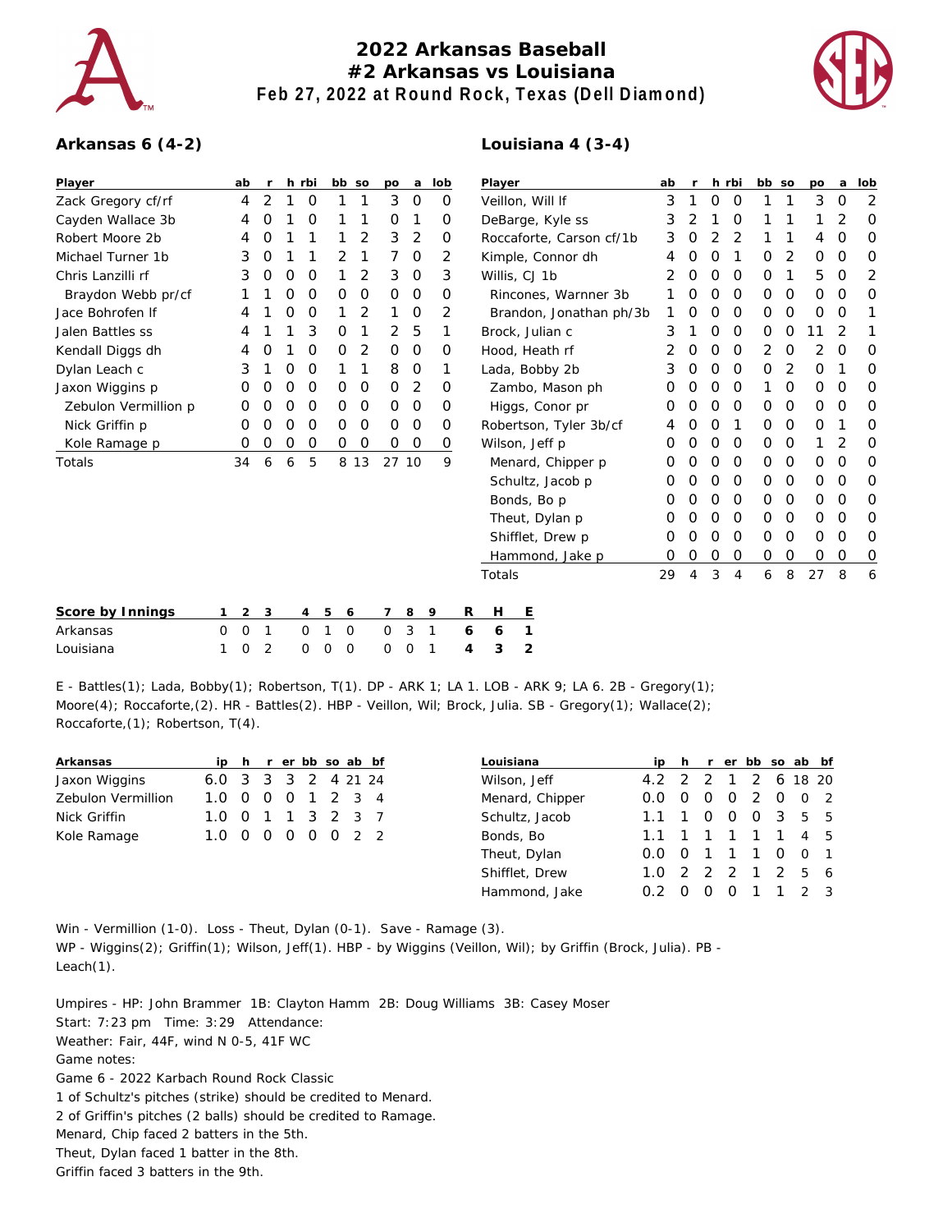

## **2022 Arkansas Baseball #2 Arkansas vs Louisiana Feb 27, 2022 at Round Rock, Texas (Dell Diamond)**



## **Arkansas 6 (4-2)**

| Player               |   | ab | $\mathsf{r}$   |   | h rbi          | bb so         |               | po           | a       | lob      |   | Player                   | ab |   |   | h rbi          | bb so       |         | po | a        | lob            |
|----------------------|---|----|----------------|---|----------------|---------------|---------------|--------------|---------|----------|---|--------------------------|----|---|---|----------------|-------------|---------|----|----------|----------------|
| Zack Gregory cf/rf   |   | 4  | $\overline{2}$ |   | 0              |               |               | 3            | $\circ$ | $\Omega$ |   | Veillon, Will If         | 3  |   | 0 | O              |             | 1       | 3  | 0        | $\overline{2}$ |
| Cayden Wallace 3b    |   | 4  | O              |   | O              |               |               | 0            | 1       | 0        |   | DeBarge, Kyle ss         | 3  |   |   | 0              |             |         |    | 2        | O              |
| Robert Moore 2b      |   | 4  | O              |   |                |               | 2             | 3            | 2       | 0        |   | Roccaforte, Carson cf/1b | 3  | 0 | 2 | 2              |             |         | 4  | 0        | 0              |
| Michael Turner 1b    |   | 3  | 0              |   |                | 2             |               | 7            | 0       | 2        |   | Kimple, Connor dh        | 4  | 0 | 0 | 1              | 0           | 2       | 0  | O        | 0              |
| Chris Lanzilli rf    |   | 3  | 0              | 0 | 0              |               | 2             | 3            | 0       | 3        |   | Willis, CJ 1b            |    | 0 | 0 | 0              | $\mathbf 0$ | 1       | 5  | O        | $\overline{2}$ |
| Braydon Webb pr/cf   |   |    |                | 0 | 0              | 0             | 0             | 0            | 0       | 0        |   | Rincones, Warnner 3b     |    | 0 | 0 | 0              | 0           | 0       | 0  | 0        | 0              |
| Jace Bohrofen If     |   | 4  |                | Ο | 0              |               | 2             |              | 0       | 2        |   | Brandon, Jonathan ph/3b  |    | Ο | 0 | 0              | 0           | O       | 0  | O        | 1              |
| Jalen Battles ss     |   | 4  |                |   | 3              | 0             |               | 2            | 5       | 1        |   | Brock, Julian c          |    |   | 0 | 0              | 0           | 0       |    | 2        | 1              |
| Kendall Diggs dh     |   | 4  | Ο              |   | O              | $\mathcal{O}$ | 2             | 0            | $\circ$ | 0        |   | Hood, Heath rf           |    | 0 | 0 | 0              | 2           | $\circ$ | 2  | O        | O              |
| Dylan Leach c        |   | 3  |                | 0 | 0              |               |               | 8            | 0       | 1        |   | Lada, Bobby 2b           | 3  | 0 | 0 | 0              | 0           | 2       | 0  |          | 0              |
| Jaxon Wiggins p      |   | O  | Ο              | 0 | 0              | $\mathcal{O}$ | $\mathcal{O}$ | 0            | 2       | 0        |   | Zambo, Mason ph          |    | 0 | 0 | 0              |             | 0       | 0  | 0        | 0              |
| Zebulon Vermillion p |   | O  | O              | 0 | 0              | 0             | $\mathbf 0$   | $\mathbf{0}$ | 0       | 0        |   | Higgs, Conor pr          |    | 0 | O | 0              | 0           | 0       | 0  | 0        | 0              |
| Nick Griffin p       |   | O  | Ο              | 0 | 0              | $\mathcal{O}$ | $\mathcal{O}$ | 0            | O       | 0        |   | Robertson, Tyler 3b/cf   |    | 0 | 0 | 1              | 0           | $\circ$ | 0  |          | 0              |
| Kole Ramage p        |   | 0  | O              | 0 | 0              | 0             | $\mathcal{O}$ | 0            | $\circ$ | 0        |   | Wilson, Jeff p           | O  | 0 | O | 0              | 0           | 0       |    | 2        | 0              |
| Totals               |   | 34 | 6              | 6 | 5              | 8             | 13            | 27 10        |         | 9        |   | Menard, Chipper p        | Ο  | 0 | 0 | 0              | 0           | 0       | 0  | 0        | 0              |
|                      |   |    |                |   |                |               |               |              |         |          |   | Schultz, Jacob p         | Ο  | O | O | 0              | 0           | 0       | 0  | 0        | 0              |
|                      |   |    |                |   |                |               |               |              |         |          |   | Bonds, Bo p              | Ο  | Ο | 0 | 0              | 0           | 0       | 0  | $\Omega$ | 0              |
|                      |   |    |                |   |                |               |               |              |         |          |   | Theut, Dylan p           | O  | 0 | 0 | 0              | 0           | 0       | 0  | O        | 0              |
|                      |   |    |                |   |                |               |               |              |         |          |   | Shifflet, Drew p         | 0  |   | 0 | 0              | $\mathbf 0$ | 0       | 0  | $\Omega$ | 0              |
|                      |   |    |                |   |                |               |               |              |         |          |   | Hammond, Jake p          |    | 0 | 0 | 0              | 0           | 0       | 0  | 0        | 0              |
|                      |   |    |                |   |                |               |               |              |         |          |   | Totals                   | 29 | 4 | 3 | $\overline{4}$ | 6           | 8       | 27 | 8        | 6              |
|                      |   |    |                |   |                |               |               |              |         |          |   |                          |    |   |   |                |             |         |    |          |                |
| Score by Innings     |   | 2  | 3              |   | $\overline{4}$ | 5<br>6        |               | 7            | 8       | 9        | R | H<br>Ε                   |    |   |   |                |             |         |    |          |                |
| Arkansas             | 0 | 0  | $\mathbf 1$    |   | 0              | 1<br>0        |               | 0            | 3       | 1        | 6 | 1<br>6                   |    |   |   |                |             |         |    |          |                |

| Arkansas  |  |  |  |  |  |  | 0 0 1 0 1 0 0 3 1 6 6 1 |  |
|-----------|--|--|--|--|--|--|-------------------------|--|
| Louisiana |  |  |  |  |  |  | 102 000 001 4 3 2       |  |

E - Battles(1); Lada, Bobby(1); Robertson, T(1). DP - ARK 1; LA 1. LOB - ARK 9; LA 6. 2B - Gregory(1); Moore(4); Roccaforte,(2). HR - Battles(2). HBP - Veillon, Wil; Brock, Julia. SB - Gregory(1); Wallace(2); Roccaforte,(1); Robertson, T(4).

| Arkansas           |                       |     | ip h r er bb so ab bf |             |  | Louisiana       |                     |                |                | ip h r er bb so ab bf |                     |     |
|--------------------|-----------------------|-----|-----------------------|-------------|--|-----------------|---------------------|----------------|----------------|-----------------------|---------------------|-----|
| Jaxon Wiggins      | $6.0 \quad 3 \quad 3$ |     |                       | 3 2 4 21 24 |  | Wilson, Jeff    | 4.2 2 2 1 2 6 18 20 |                |                |                       |                     |     |
| Zebulon Vermillion | $1.0 \quad 0$         | - 0 | 0                     | 1 2 3 4     |  | Menard, Chipper | $0.0^-$             | $\overline{0}$ | $\overline{O}$ | 2                     | $0 \quad 0 \quad 2$ |     |
| Nick Griffin       | $1.0 \Omega$          |     |                       | 3 2 3 7     |  | Schultz, Jacob  | $1.1 \quad 1$       |                | $\overline{O}$ | $\Omega$              | 3 5 5               |     |
| Kole Ramage        | 1.0 0                 | - 0 | $\overline{0}$        | 0 0 2 2     |  | Bonds, Bo       |                     |                |                | 1 1 1 1 4 5           |                     |     |
|                    |                       |     |                       |             |  | Theut, Dylan    | $0.0 \Omega$        |                |                |                       | $0 \quad 0 \quad 1$ |     |
|                    |                       |     |                       |             |  | Shifflet, Drew  | $1.0$ 2 2 2 1       |                |                |                       | 2 5 6               |     |
|                    |                       |     |                       |             |  | Hammond, Jake   | 0.2                 |                | O              |                       |                     | 2 3 |

Win - Vermillion (1-0). Loss - Theut, Dylan (0-1). Save - Ramage (3). WP - Wiggins(2); Griffin(1); Wilson, Jeff(1). HBP - by Wiggins (Veillon, Wil); by Griffin (Brock, Julia). PB - Leach(1).

Umpires - HP: John Brammer 1B: Clayton Hamm 2B: Doug Williams 3B: Casey Moser Start: 7:23 pm Time: 3:29 Attendance: Weather: Fair, 44F, wind N 0-5, 41F WC Game notes: Game 6 - 2022 Karbach Round Rock Classic 1 of Schultz's pitches (strike) should be credited to Menard. 2 of Griffin's pitches (2 balls) should be credited to Ramage. Menard, Chip faced 2 batters in the 5th. Theut, Dylan faced 1 batter in the 8th.

## **Louisiana 4 (3-4)**

Griffin faced 3 batters in the 9th.